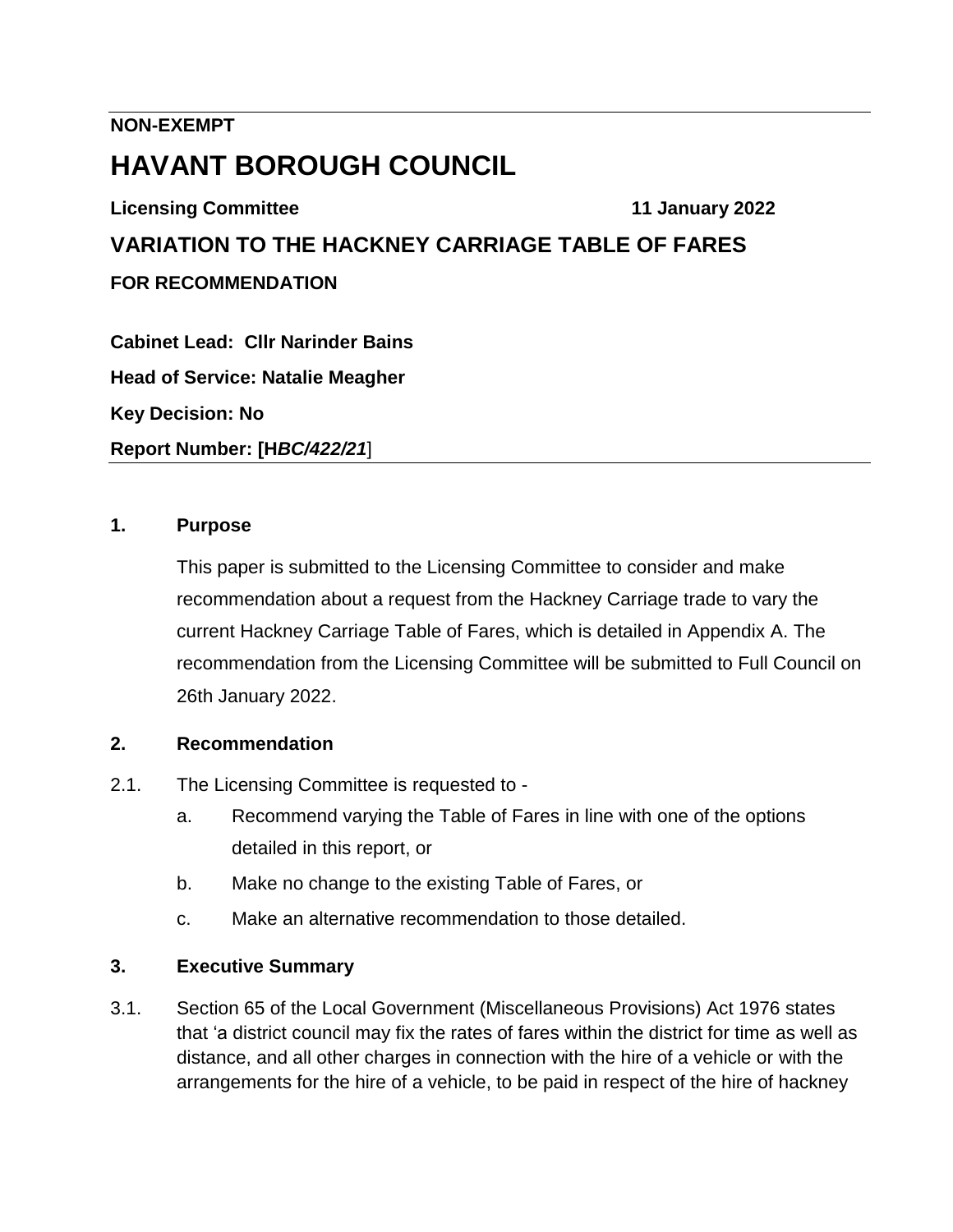### **NON-EXEMPT**

# **HAVANT BOROUGH COUNCIL**

**Licensing Committee 11 January 2022**

**VARIATION TO THE HACKNEY CARRIAGE TABLE OF FARES FOR RECOMMENDATION**

**Cabinet Lead: Cllr Narinder Bains Head of Service: Natalie Meagher Key Decision: No Report Number: [H***BC/422/21*]

### **1. Purpose**

This paper is submitted to the Licensing Committee to consider and make recommendation about a request from the Hackney Carriage trade to vary the current Hackney Carriage Table of Fares, which is detailed in Appendix A. The recommendation from the Licensing Committee will be submitted to Full Council on 26th January 2022.

### **2. Recommendation**

- 2.1. The Licensing Committee is requested to
	- a. Recommend varying the Table of Fares in line with one of the options detailed in this report, or
	- b. Make no change to the existing Table of Fares, or
	- c. Make an alternative recommendation to those detailed.

### **3. Executive Summary**

3.1. Section 65 of the Local Government (Miscellaneous Provisions) Act 1976 states that 'a district council may fix the rates of fares within the district for time as well as distance, and all other charges in connection with the hire of a vehicle or with the arrangements for the hire of a vehicle, to be paid in respect of the hire of hackney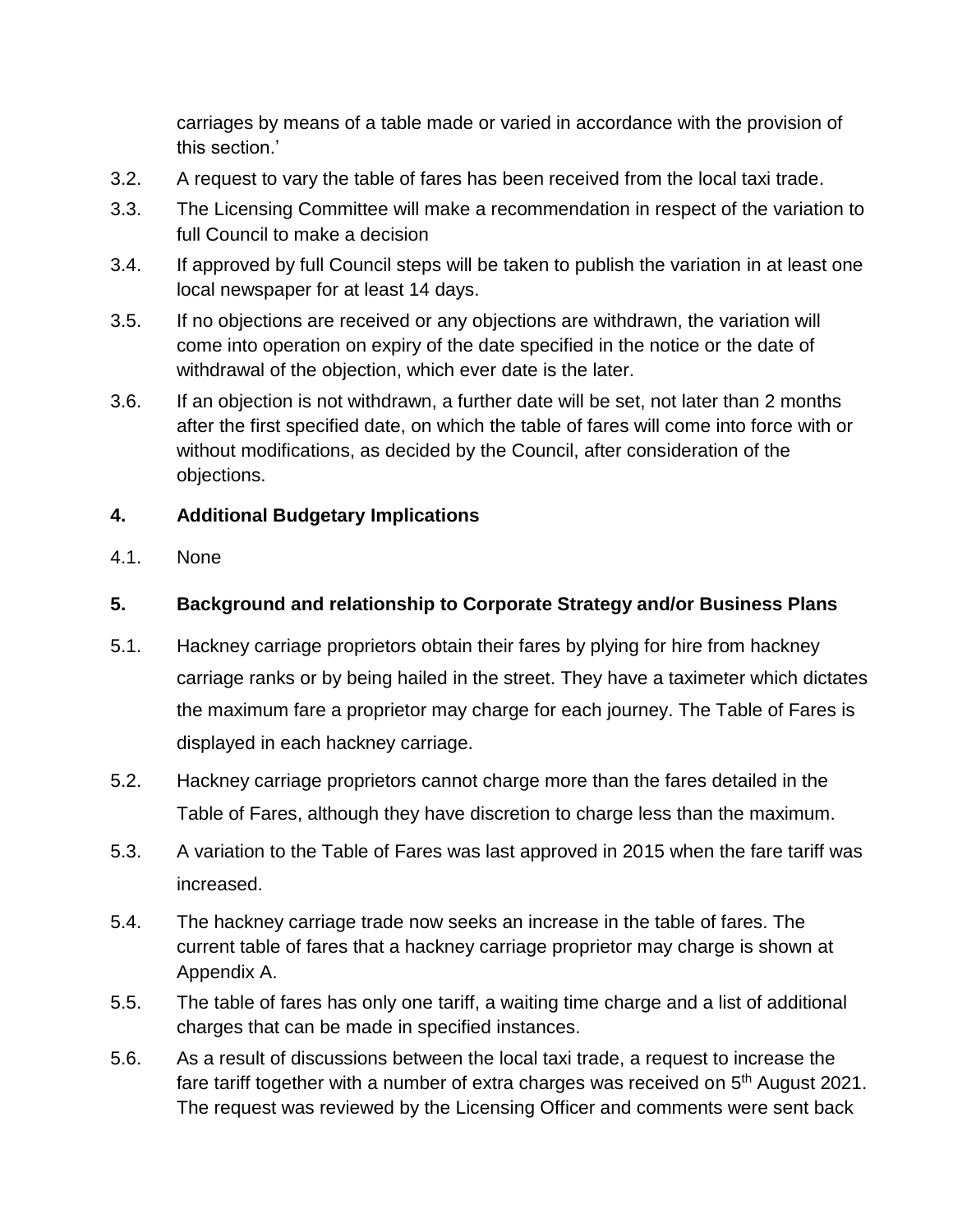carriages by means of a table made or varied in accordance with the provision of this section.'

- 3.2. A request to vary the table of fares has been received from the local taxi trade.
- 3.3. The Licensing Committee will make a recommendation in respect of the variation to full Council to make a decision
- 3.4. If approved by full Council steps will be taken to publish the variation in at least one local newspaper for at least 14 days.
- 3.5. If no objections are received or any objections are withdrawn, the variation will come into operation on expiry of the date specified in the notice or the date of withdrawal of the objection, which ever date is the later.
- 3.6. If an objection is not withdrawn, a further date will be set, not later than 2 months after the first specified date, on which the table of fares will come into force with or without modifications, as decided by the Council, after consideration of the objections.

### **4. Additional Budgetary Implications**

4.1. None

## **5. Background and relationship to Corporate Strategy and/or Business Plans**

- 5.1. Hackney carriage proprietors obtain their fares by plying for hire from hackney carriage ranks or by being hailed in the street. They have a taximeter which dictates the maximum fare a proprietor may charge for each journey. The Table of Fares is displayed in each hackney carriage.
- 5.2. Hackney carriage proprietors cannot charge more than the fares detailed in the Table of Fares, although they have discretion to charge less than the maximum.
- 5.3. A variation to the Table of Fares was last approved in 2015 when the fare tariff was increased.
- 5.4. The hackney carriage trade now seeks an increase in the table of fares. The current table of fares that a hackney carriage proprietor may charge is shown at Appendix A.
- 5.5. The table of fares has only one tariff, a waiting time charge and a list of additional charges that can be made in specified instances.
- 5.6. As a result of discussions between the local taxi trade, a request to increase the fare tariff together with a number of extra charges was received on 5<sup>th</sup> August 2021. The request was reviewed by the Licensing Officer and comments were sent back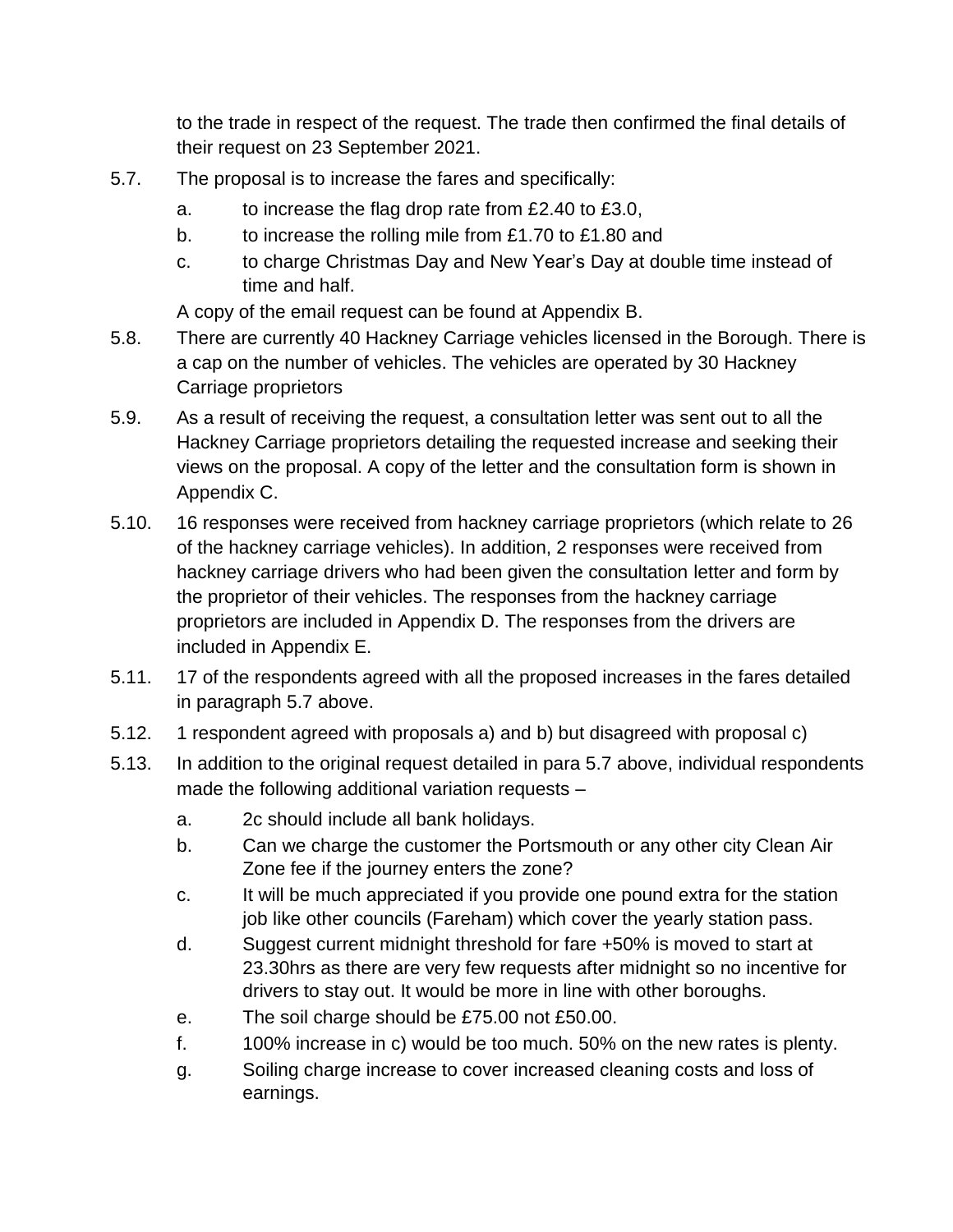to the trade in respect of the request. The trade then confirmed the final details of their request on 23 September 2021.

- 5.7. The proposal is to increase the fares and specifically:
	- a. to increase the flag drop rate from £2.40 to £3.0,
	- b. to increase the rolling mile from £1.70 to £1.80 and
	- c. to charge Christmas Day and New Year's Day at double time instead of time and half.

A copy of the email request can be found at Appendix B.

- 5.8. There are currently 40 Hackney Carriage vehicles licensed in the Borough. There is a cap on the number of vehicles. The vehicles are operated by 30 Hackney Carriage proprietors
- 5.9. As a result of receiving the request, a consultation letter was sent out to all the Hackney Carriage proprietors detailing the requested increase and seeking their views on the proposal. A copy of the letter and the consultation form is shown in Appendix C.
- 5.10. 16 responses were received from hackney carriage proprietors (which relate to 26 of the hackney carriage vehicles). In addition, 2 responses were received from hackney carriage drivers who had been given the consultation letter and form by the proprietor of their vehicles. The responses from the hackney carriage proprietors are included in Appendix D. The responses from the drivers are included in Appendix E.
- 5.11. 17 of the respondents agreed with all the proposed increases in the fares detailed in paragraph 5.7 above.
- 5.12. 1 respondent agreed with proposals a) and b) but disagreed with proposal c)
- 5.13. In addition to the original request detailed in para 5.7 above, individual respondents made the following additional variation requests –
	- a. 2c should include all bank holidays.
	- b. Can we charge the customer the Portsmouth or any other city Clean Air Zone fee if the journey enters the zone?
	- c. It will be much appreciated if you provide one pound extra for the station job like other councils (Fareham) which cover the yearly station pass.
	- d. Suggest current midnight threshold for fare +50% is moved to start at 23.30hrs as there are very few requests after midnight so no incentive for drivers to stay out. It would be more in line with other boroughs.
	- e. The soil charge should be £75.00 not £50.00.
	- f. 100% increase in c) would be too much. 50% on the new rates is plenty.
	- g. Soiling charge increase to cover increased cleaning costs and loss of earnings.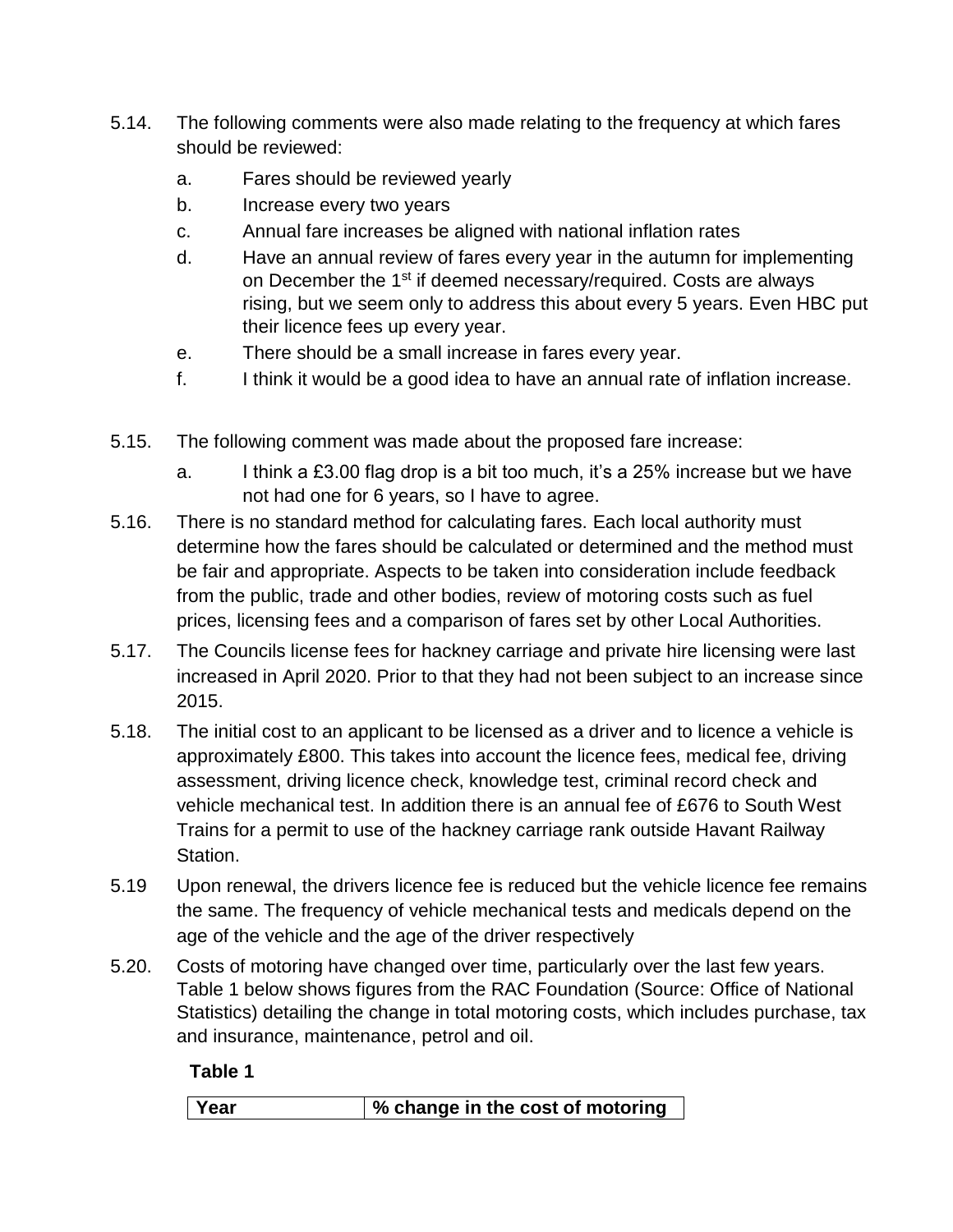- 5.14. The following comments were also made relating to the frequency at which fares should be reviewed:
	- a. Fares should be reviewed yearly
	- b. Increase every two years
	- c. Annual fare increases be aligned with national inflation rates
	- d. Have an annual review of fares every year in the autumn for implementing on December the 1<sup>st</sup> if deemed necessary/required. Costs are always rising, but we seem only to address this about every 5 years. Even HBC put their licence fees up every year.
	- e. There should be a small increase in fares every year.
	- f. I think it would be a good idea to have an annual rate of inflation increase.
- 5.15. The following comment was made about the proposed fare increase:
	- a. I think a £3.00 flag drop is a bit too much, it's a 25% increase but we have not had one for 6 years, so I have to agree.
- 5.16. There is no standard method for calculating fares. Each local authority must determine how the fares should be calculated or determined and the method must be fair and appropriate. Aspects to be taken into consideration include feedback from the public, trade and other bodies, review of motoring costs such as fuel prices, licensing fees and a comparison of fares set by other Local Authorities.
- 5.17. The Councils license fees for hackney carriage and private hire licensing were last increased in April 2020. Prior to that they had not been subject to an increase since 2015.
- 5.18. The initial cost to an applicant to be licensed as a driver and to licence a vehicle is approximately £800. This takes into account the licence fees, medical fee, driving assessment, driving licence check, knowledge test, criminal record check and vehicle mechanical test. In addition there is an annual fee of £676 to South West Trains for a permit to use of the hackney carriage rank outside Havant Railway Station.
- 5.19 Upon renewal, the drivers licence fee is reduced but the vehicle licence fee remains the same. The frequency of vehicle mechanical tests and medicals depend on the age of the vehicle and the age of the driver respectively
- 5.20. Costs of motoring have changed over time, particularly over the last few years. Table 1 below shows figures from the RAC Foundation (Source: Office of National Statistics) detailing the change in total motoring costs, which includes purchase, tax and insurance, maintenance, petrol and oil.

**Table 1**

**Year % change in the cost of motoring**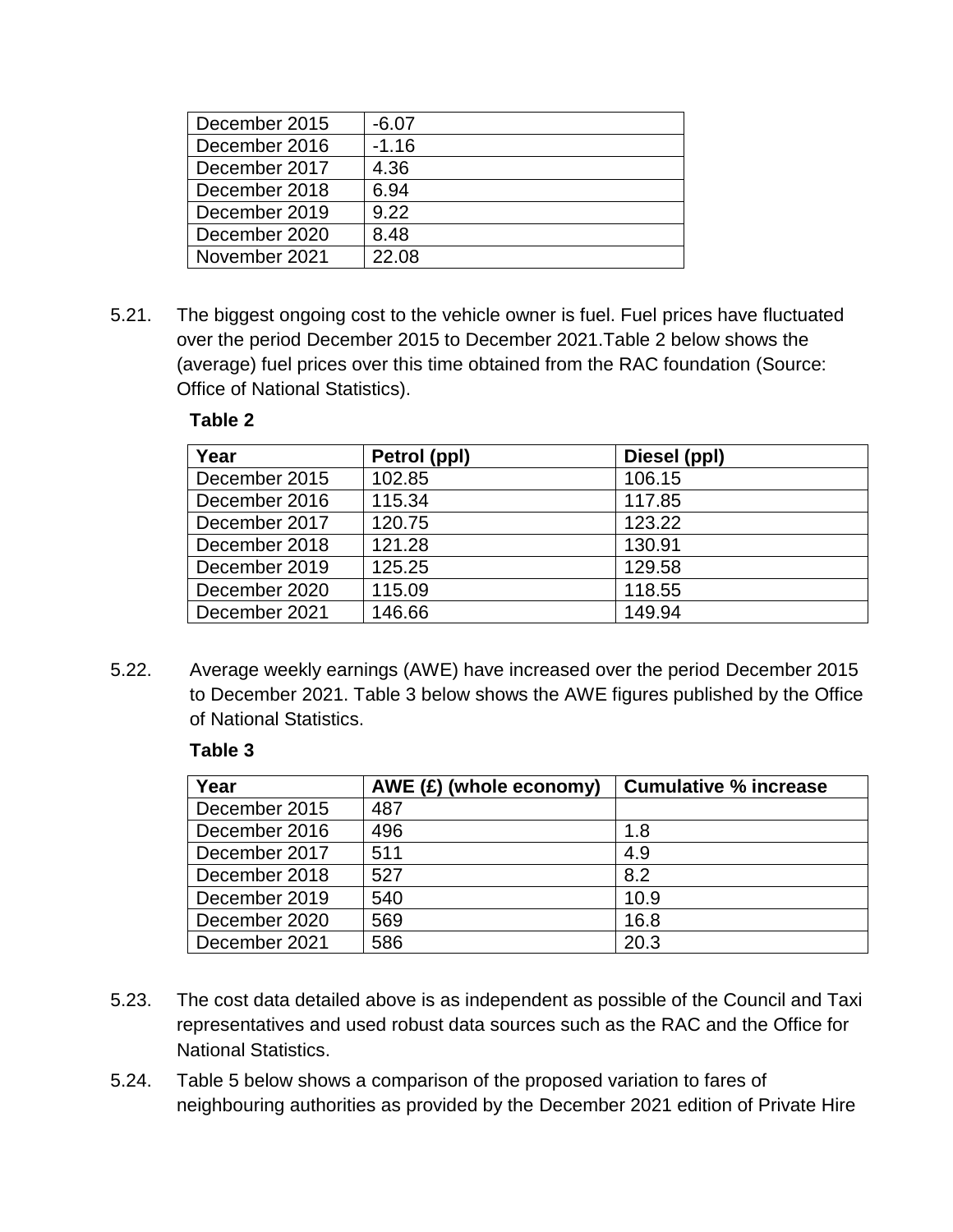| December 2015 | $-6.07$ |
|---------------|---------|
| December 2016 | $-1.16$ |
| December 2017 | 4.36    |
| December 2018 | 6.94    |
| December 2019 | 9.22    |
| December 2020 | 8.48    |
| November 2021 | 22.08   |

5.21. The biggest ongoing cost to the vehicle owner is fuel. Fuel prices have fluctuated over the period December 2015 to December 2021.Table 2 below shows the (average) fuel prices over this time obtained from the RAC foundation (Source: Office of National Statistics).

### **Table 2**

| Year          | Petrol (ppl) | Diesel (ppl) |
|---------------|--------------|--------------|
| December 2015 | 102.85       | 106.15       |
| December 2016 | 115.34       | 117.85       |
| December 2017 | 120.75       | 123.22       |
| December 2018 | 121.28       | 130.91       |
| December 2019 | 125.25       | 129.58       |
| December 2020 | 115.09       | 118.55       |
| December 2021 | 146.66       | 149.94       |

5.22. Average weekly earnings (AWE) have increased over the period December 2015 to December 2021. Table 3 below shows the AWE figures published by the Office of National Statistics.

### **Table 3**

| Year          | $AWE$ (£) (whole economy) | <b>Cumulative % increase</b> |  |  |
|---------------|---------------------------|------------------------------|--|--|
| December 2015 | 487                       |                              |  |  |
| December 2016 | 496                       | 1.8                          |  |  |
| December 2017 | 511                       | 4.9                          |  |  |
| December 2018 | 527                       | 8.2                          |  |  |
| December 2019 | 540                       | 10.9                         |  |  |
| December 2020 | 569                       | 16.8                         |  |  |
| December 2021 | 586                       | 20.3                         |  |  |

- 5.23. The cost data detailed above is as independent as possible of the Council and Taxi representatives and used robust data sources such as the RAC and the Office for National Statistics.
- 5.24. Table 5 below shows a comparison of the proposed variation to fares of neighbouring authorities as provided by the December 2021 edition of Private Hire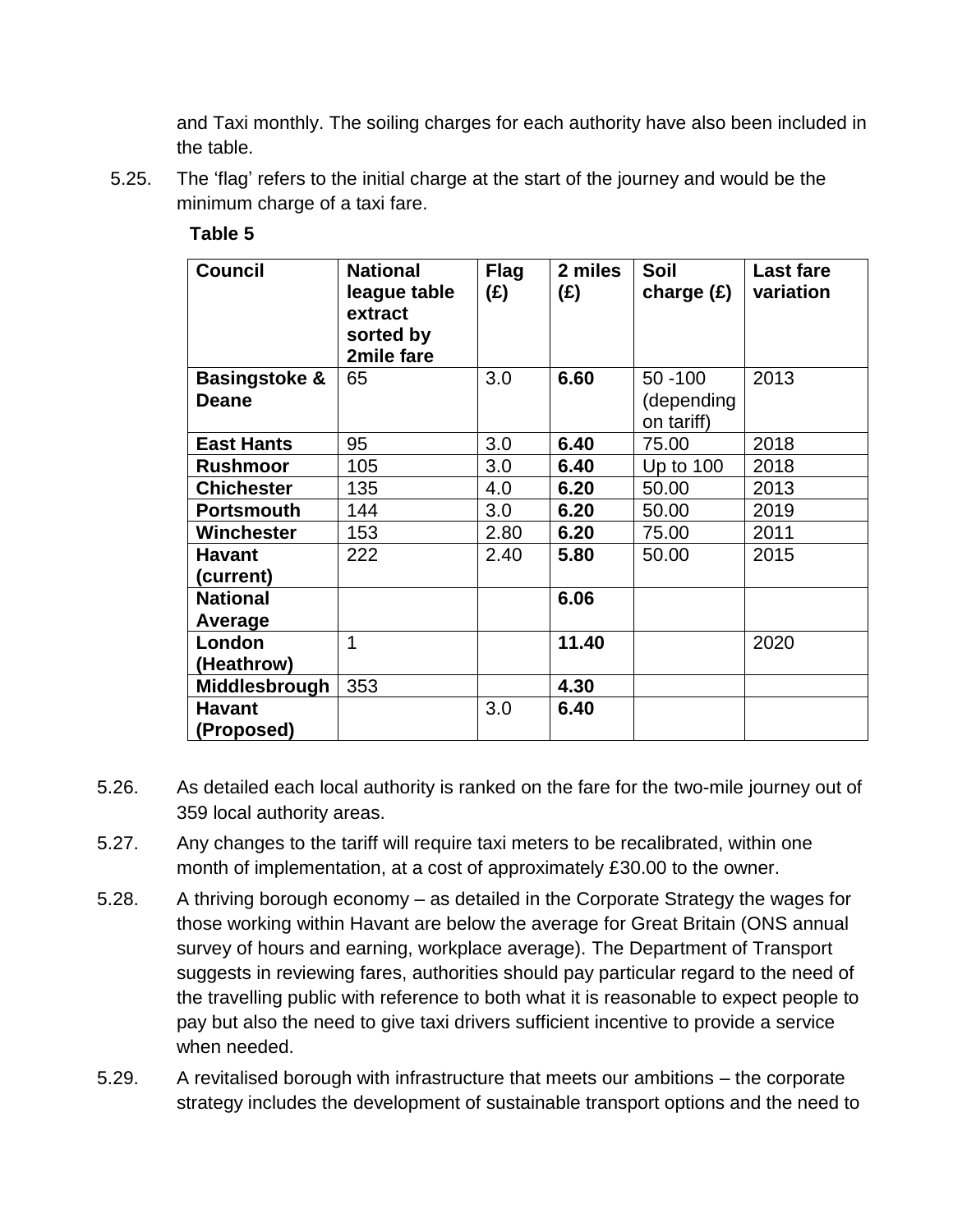and Taxi monthly. The soiling charges for each authority have also been included in the table.

5.25. The 'flag' refers to the initial charge at the start of the journey and would be the minimum charge of a taxi fare.

| <b>Council</b>                           | <b>National</b><br>league table<br>extract<br>sorted by<br>2mile fare | <b>Flag</b><br>(E) | 2 miles<br>(E) | Soil<br>charge $(E)$     | <b>Last fare</b><br>variation |
|------------------------------------------|-----------------------------------------------------------------------|--------------------|----------------|--------------------------|-------------------------------|
| <b>Basingstoke &amp;</b><br><b>Deane</b> | 65                                                                    | 3.0                | 6.60           | $50 - 100$<br>(depending | 2013                          |
|                                          |                                                                       |                    |                | on tariff)               |                               |
| <b>East Hants</b>                        | 95                                                                    | 3.0                | 6.40           | 75.00                    | 2018                          |
| <b>Rushmoor</b>                          | 105                                                                   | 3.0                | 6.40           | Up to 100                | 2018                          |
| <b>Chichester</b>                        | 135                                                                   | 4.0                | 6.20           | 50.00                    | 2013                          |
| <b>Portsmouth</b>                        | 144                                                                   | 3.0                | 6.20           | 50.00                    | 2019                          |
| Winchester                               | 153                                                                   | 2.80               | 6.20           | 75.00                    | 2011                          |
| <b>Havant</b><br>(current)               | 222                                                                   | 2.40               | 5.80           | 50.00                    | 2015                          |
| <b>National</b><br>Average               |                                                                       |                    | 6.06           |                          |                               |
| London<br>(Heathrow)                     | 1                                                                     |                    | 11.40          |                          | 2020                          |
| Middlesbrough                            | 353                                                                   |                    | 4.30           |                          |                               |
| <b>Havant</b>                            |                                                                       | 3.0                | 6.40           |                          |                               |
| (Proposed)                               |                                                                       |                    |                |                          |                               |

### **Table 5**

- 5.26. As detailed each local authority is ranked on the fare for the two-mile journey out of 359 local authority areas.
- 5.27. Any changes to the tariff will require taxi meters to be recalibrated, within one month of implementation, at a cost of approximately £30.00 to the owner.
- 5.28. A thriving borough economy as detailed in the Corporate Strategy the wages for those working within Havant are below the average for Great Britain (ONS annual survey of hours and earning, workplace average). The Department of Transport suggests in reviewing fares, authorities should pay particular regard to the need of the travelling public with reference to both what it is reasonable to expect people to pay but also the need to give taxi drivers sufficient incentive to provide a service when needed.
- 5.29. A revitalised borough with infrastructure that meets our ambitions the corporate strategy includes the development of sustainable transport options and the need to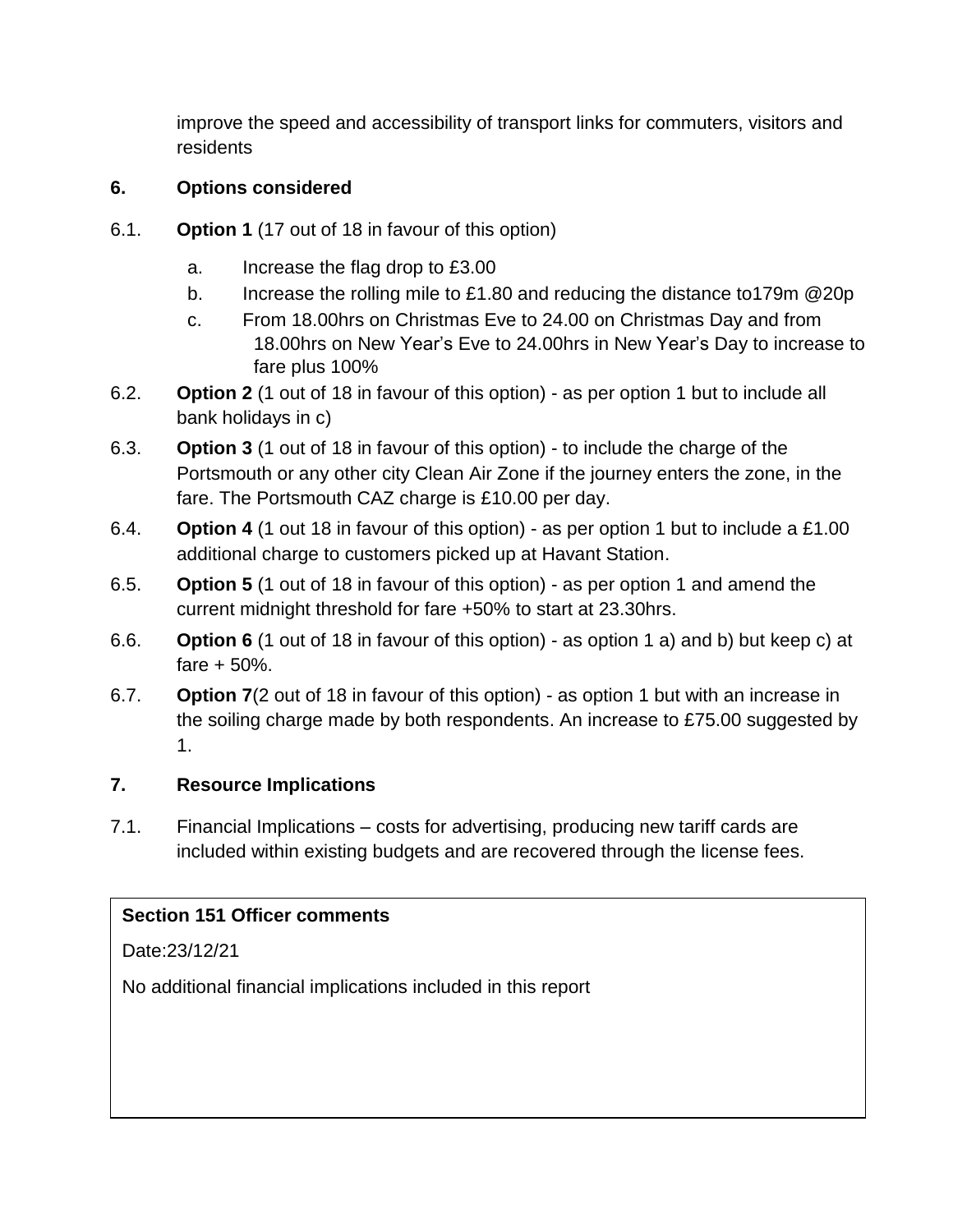improve the speed and accessibility of transport links for commuters, visitors and residents

# **6. Options considered**

- 6.1. **Option 1** (17 out of 18 in favour of this option)
	- a. Increase the flag drop to £3.00
	- b. Increase the rolling mile to £1.80 and reducing the distance to179m @20p
	- c. From 18.00hrs on Christmas Eve to 24.00 on Christmas Day and from 18.00hrs on New Year's Eve to 24.00hrs in New Year's Day to increase to fare plus 100%
- 6.2. **Option 2** (1 out of 18 in favour of this option) as per option 1 but to include all bank holidays in c)
- 6.3. **Option 3** (1 out of 18 in favour of this option) to include the charge of the Portsmouth or any other city Clean Air Zone if the journey enters the zone, in the fare. The Portsmouth CAZ charge is £10.00 per day.
- 6.4. **Option 4** (1 out 18 in favour of this option) as per option 1 but to include a £1.00 additional charge to customers picked up at Havant Station.
- 6.5. **Option 5** (1 out of 18 in favour of this option) as per option 1 and amend the current midnight threshold for fare +50% to start at 23.30hrs.
- 6.6. **Option 6** (1 out of 18 in favour of this option) as option 1 a) and b) but keep c) at fare + 50%.
- 6.7. **Option 7**(2 out of 18 in favour of this option) as option 1 but with an increase in the soiling charge made by both respondents. An increase to £75.00 suggested by 1.

# **7. Resource Implications**

7.1. Financial Implications – costs for advertising, producing new tariff cards are included within existing budgets and are recovered through the license fees.

# **Section 151 Officer comments**

Date:23/12/21

No additional financial implications included in this report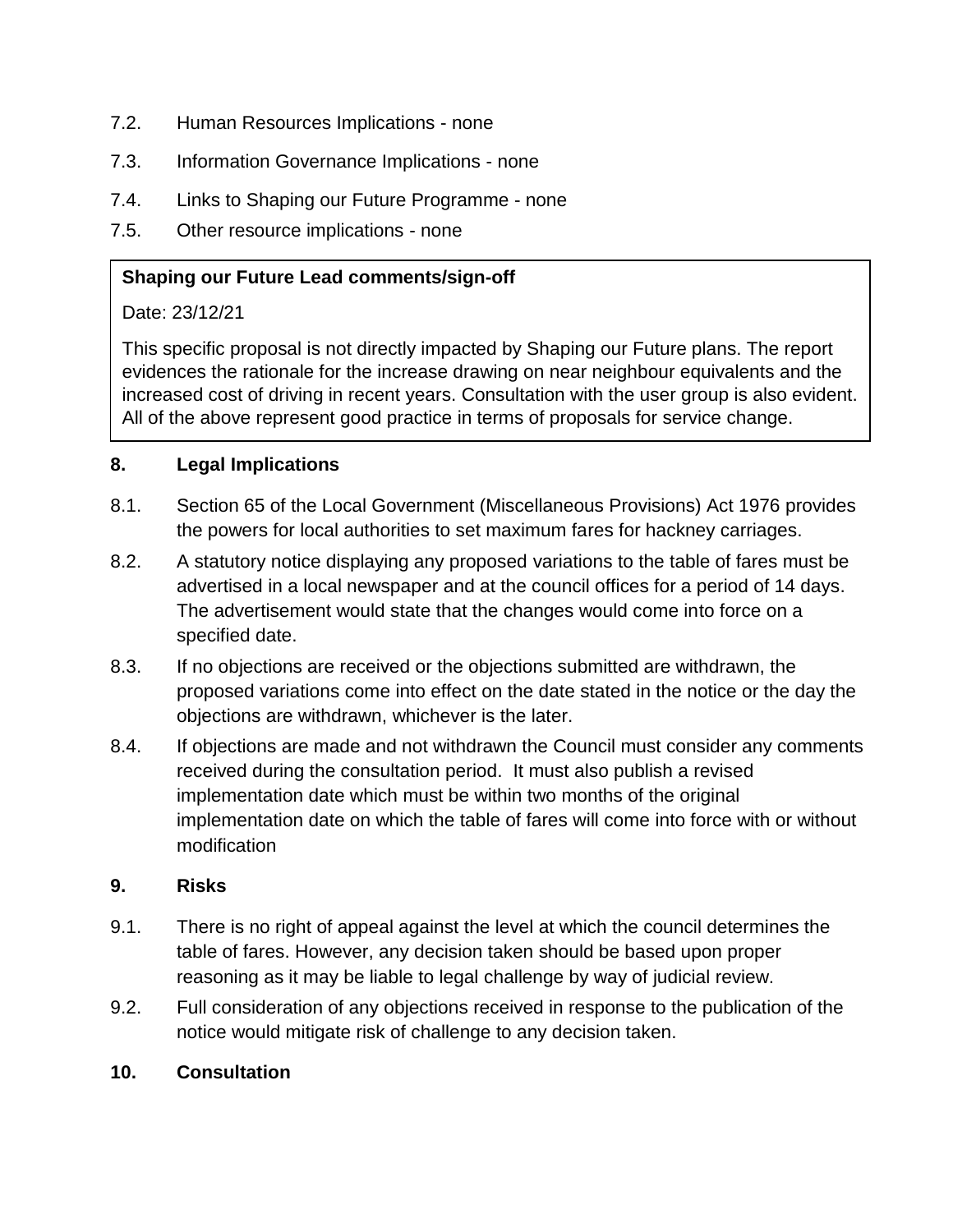- 7.2. Human Resources Implications none
- 7.3. Information Governance Implications none
- 7.4. Links to Shaping our Future Programme none
- 7.5. Other resource implications none

### **Shaping our Future Lead comments/sign-off**

### Date: 23/12/21

This specific proposal is not directly impacted by Shaping our Future plans. The report evidences the rationale for the increase drawing on near neighbour equivalents and the increased cost of driving in recent years. Consultation with the user group is also evident. All of the above represent good practice in terms of proposals for service change.

### **8. Legal Implications**

- 8.1. Section 65 of the Local Government (Miscellaneous Provisions) Act 1976 provides the powers for local authorities to set maximum fares for hackney carriages.
- 8.2. A statutory notice displaying any proposed variations to the table of fares must be advertised in a local newspaper and at the council offices for a period of 14 days. The advertisement would state that the changes would come into force on a specified date.
- 8.3. If no objections are received or the objections submitted are withdrawn, the proposed variations come into effect on the date stated in the notice or the day the objections are withdrawn, whichever is the later.
- 8.4. If objections are made and not withdrawn the Council must consider any comments received during the consultation period. It must also publish a revised implementation date which must be within two months of the original implementation date on which the table of fares will come into force with or without modification

### **9. Risks**

- 9.1. There is no right of appeal against the level at which the council determines the table of fares. However, any decision taken should be based upon proper reasoning as it may be liable to legal challenge by way of judicial review.
- 9.2. Full consideration of any objections received in response to the publication of the notice would mitigate risk of challenge to any decision taken.

### **10. Consultation**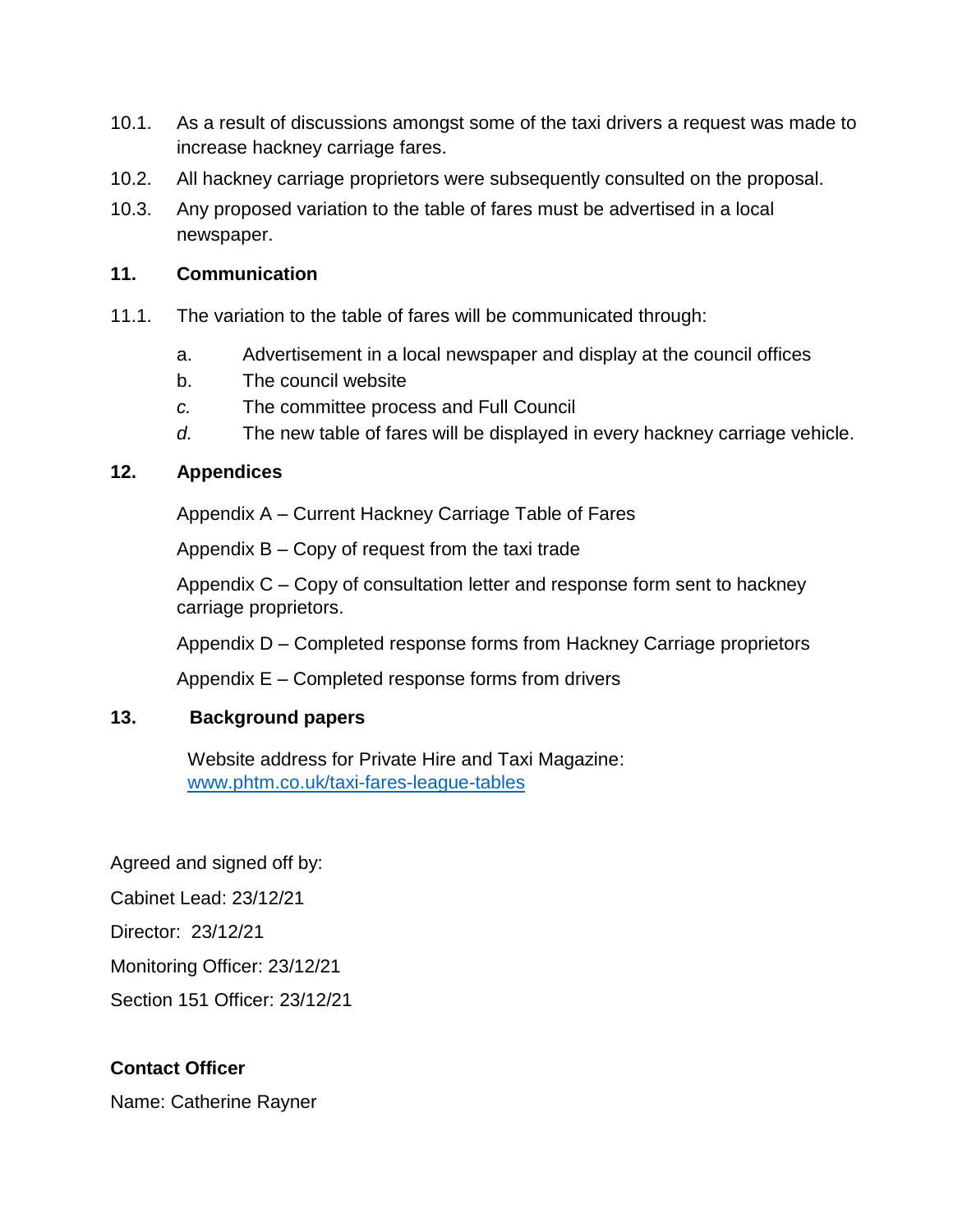- 10.1. As a result of discussions amongst some of the taxi drivers a request was made to increase hackney carriage fares.
- 10.2. All hackney carriage proprietors were subsequently consulted on the proposal.
- 10.3. Any proposed variation to the table of fares must be advertised in a local newspaper.

### **11. Communication**

- 11.1. The variation to the table of fares will be communicated through:
	- a. Advertisement in a local newspaper and display at the council offices
	- b. The council website
	- *c.* The committee process and Full Council
	- *d.* The new table of fares will be displayed in every hackney carriage vehicle.

### **12. Appendices**

Appendix A – Current Hackney Carriage Table of Fares

Appendix B – Copy of request from the taxi trade

Appendix C – Copy of consultation letter and response form sent to hackney carriage proprietors.

Appendix D – Completed response forms from Hackney Carriage proprietors

Appendix E – Completed response forms from drivers

### **13. Background papers**

Website address for Private Hire and Taxi Magazine: [www.phtm.co.uk/taxi-fares-league-tables](http://www.phtm.co.uk/taxi-fares-league-tables)

Agreed and signed off by:

Cabinet Lead: 23/12/21

Director: 23/12/21

Monitoring Officer: 23/12/21

Section 151 Officer: 23/12/21

## **Contact Officer**

Name: Catherine Rayner